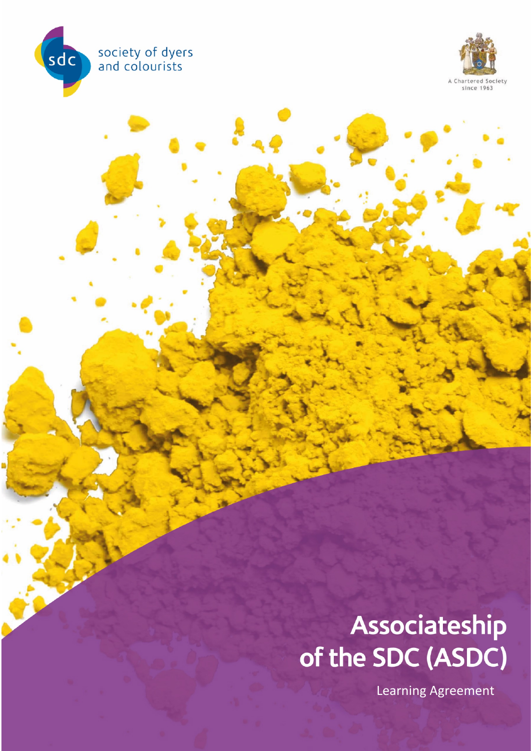



# Associateship of the SDC (ASDC)

Learning Agreement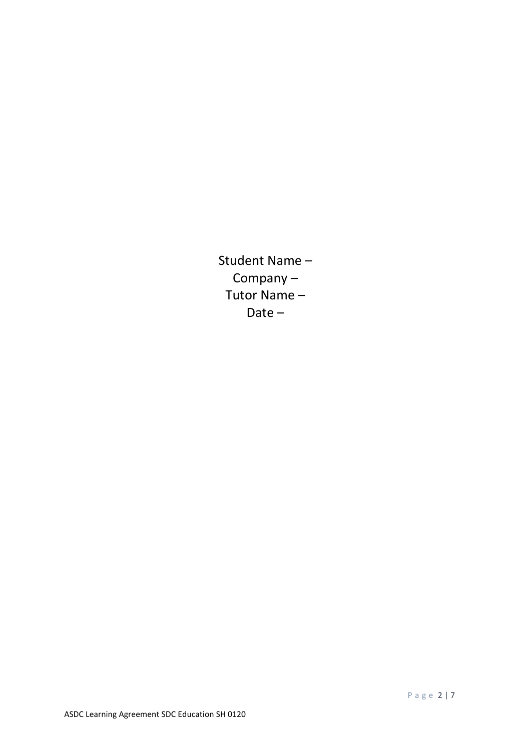Student Name – Company – Tutor Name – Date –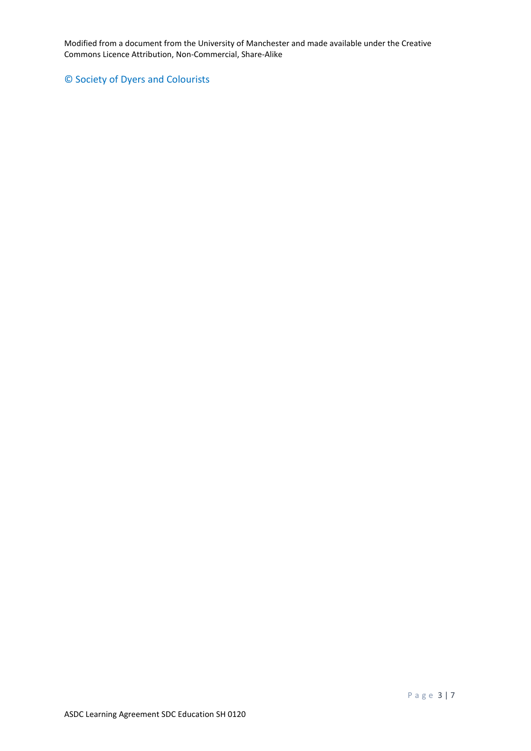Modified from a document from the University of Manchester and made available under the Creative Commons Licence Attribution, Non-Commercial, Share-Alike

# © Society of Dyers and Colourists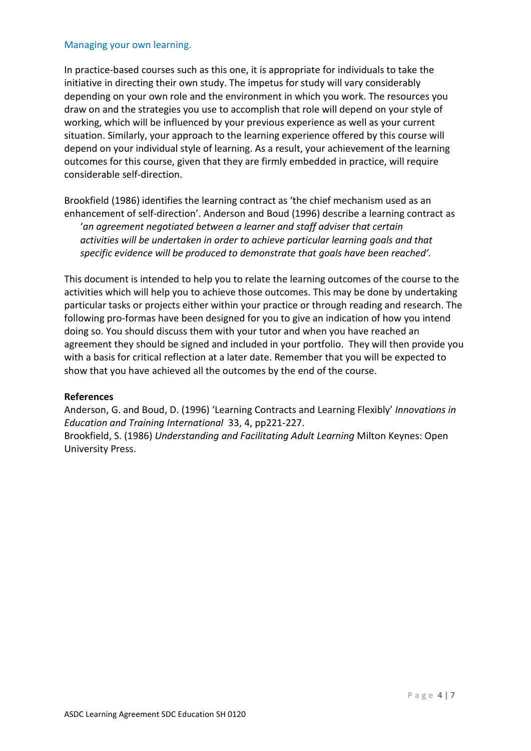#### Managing your own learning.

In practice-based courses such as this one, it is appropriate for individuals to take the initiative in directing their own study. The impetus for study will vary considerably depending on your own role and the environment in which you work. The resources you draw on and the strategies you use to accomplish that role will depend on your style of working, which will be influenced by your previous experience as well as your current situation. Similarly, your approach to the learning experience offered by this course will depend on your individual style of learning. As a result, your achievement of the learning outcomes for this course, given that they are firmly embedded in practice, will require considerable self-direction.

Brookfield (1986) identifies the learning contract as 'the chief mechanism used as an enhancement of self-direction'. Anderson and Boud (1996) describe a learning contract as '*an agreement negotiated between a learner and staff adviser that certain activities will be undertaken in order to achieve particular learning goals and that specific evidence will be produced to demonstrate that goals have been reached'.*

This document is intended to help you to relate the learning outcomes of the course to the activities which will help you to achieve those outcomes. This may be done by undertaking particular tasks or projects either within your practice or through reading and research. The following pro-formas have been designed for you to give an indication of how you intend doing so. You should discuss them with your tutor and when you have reached an agreement they should be signed and included in your portfolio. They will then provide you with a basis for critical reflection at a later date. Remember that you will be expected to show that you have achieved all the outcomes by the end of the course.

## **References**

Anderson, G. and Boud, D. (1996) 'Learning Contracts and Learning Flexibly' *Innovations in Education and Training International* 33, 4, pp221-227.

Brookfield, S. (1986) *Understanding and Facilitating Adult Learning* Milton Keynes: Open University Press.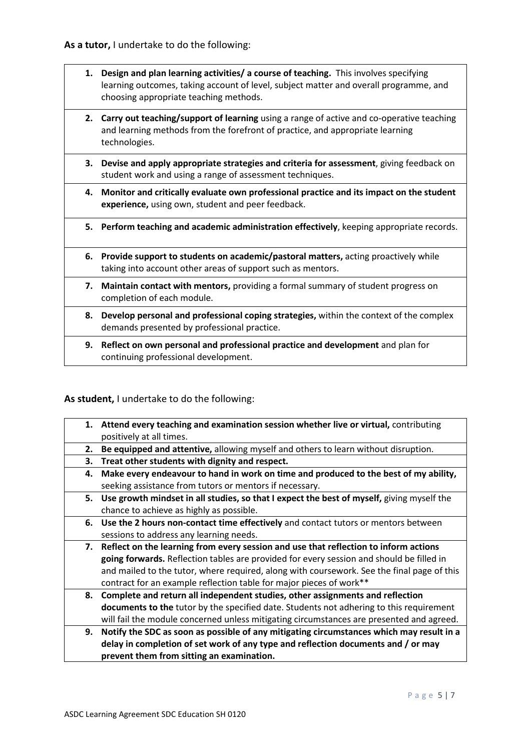- **1. Design and plan learning activities/ a course of teaching.** This involves specifying learning outcomes, taking account of level, subject matter and overall programme, and choosing appropriate teaching methods.
- **2. Carry out teaching/support of learning** using a range of active and co-operative teaching and learning methods from the forefront of practice, and appropriate learning technologies.
- **3. Devise and apply appropriate strategies and criteria for assessment**, giving feedback on student work and using a range of assessment techniques.
- **4. Monitor and critically evaluate own professional practice and its impact on the student experience,** using own, student and peer feedback.
- **5. Perform teaching and academic administration effectively**, keeping appropriate records.
- **6. Provide support to students on academic/pastoral matters,** acting proactively while taking into account other areas of support such as mentors.
- **7. Maintain contact with mentors,** providing a formal summary of student progress on completion of each module.
- **8. Develop personal and professional coping strategies,** within the context of the complex demands presented by professional practice.
- **9. Reflect on own personal and professional practice and development** and plan for continuing professional development.

## **As student,** I undertake to do the following:

| 1. | Attend every teaching and examination session whether live or virtual, contributing        |
|----|--------------------------------------------------------------------------------------------|
|    | positively at all times.                                                                   |
| 2. | Be equipped and attentive, allowing myself and others to learn without disruption.         |
| З. | Treat other students with dignity and respect.                                             |
| 4. | Make every endeavour to hand in work on time and produced to the best of my ability,       |
|    | seeking assistance from tutors or mentors if necessary.                                    |
| 5. | Use growth mindset in all studies, so that I expect the best of myself, giving myself the  |
|    | chance to achieve as highly as possible.                                                   |
| 6. | Use the 2 hours non-contact time effectively and contact tutors or mentors between         |
|    | sessions to address any learning needs.                                                    |
| 7. | Reflect on the learning from every session and use that reflection to inform actions       |
|    | going forwards. Reflection tables are provided for every session and should be filled in   |
|    | and mailed to the tutor, where required, along with coursework. See the final page of this |
|    | contract for an example reflection table for major pieces of work**                        |
| 8. | Complete and return all independent studies, other assignments and reflection              |
|    | documents to the tutor by the specified date. Students not adhering to this requirement    |
|    | will fail the module concerned unless mitigating circumstances are presented and agreed.   |
| 9. | Notify the SDC as soon as possible of any mitigating circumstances which may result in a   |
|    | delay in completion of set work of any type and reflection documents and / or may          |
|    | prevent them from sitting an examination.                                                  |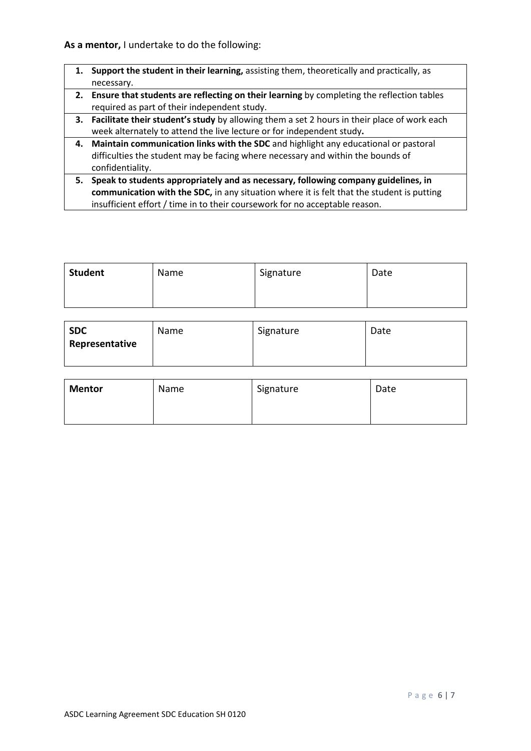**As a mentor,** I undertake to do the following:

- **1. Support the student in their learning,** assisting them, theoretically and practically, as necessary.
- **2. Ensure that students are reflecting on their learning** by completing the reflection tables required as part of their independent study.
- **3. Facilitate their student's study** by allowing them a set 2 hours in their place of work each week alternately to attend the live lecture or for independent study**.**
- **4. Maintain communication links with the SDC** and highlight any educational or pastoral difficulties the student may be facing where necessary and within the bounds of confidentiality.
- **5. Speak to students appropriately and as necessary, following company guidelines, in communication with the SDC,** in any situation where it is felt that the student is putting insufficient effort / time in to their coursework for no acceptable reason.

| <b>Student</b> | Name | Signature | Date |
|----------------|------|-----------|------|
|                |      |           |      |

| <b>SDC</b>     | Name | Signature | Date |
|----------------|------|-----------|------|
| Representative |      |           |      |
|                |      |           |      |

| <b>Mentor</b> | Name | Signature | Date |
|---------------|------|-----------|------|
|               |      |           |      |